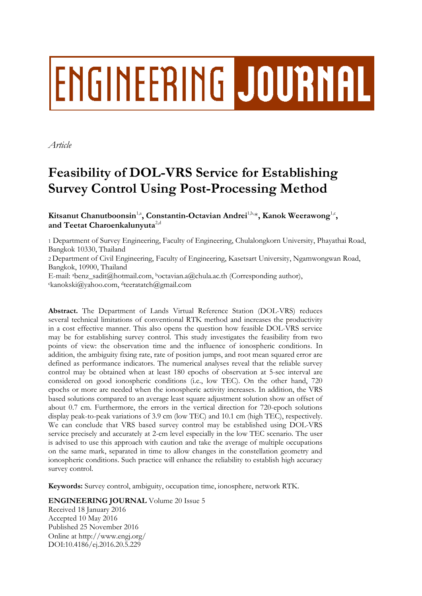# **ENGINEERING JOURNAL**

*Article*

# **Feasibility of DOL-VRS Service for Establishing Survey Control Using Post-Processing Method**

# **K**itsanut Chanutboonsin<sup>1,a</sup>, Constantin-Octavian Andrei<sup>1,b,</sup>\*, Kanok Weerawong<sup>1,c</sup>, **and Teetat Charoenkalunyuta**2,d

1 Department of Survey Engineering, Faculty of Engineering, Chulalongkorn University, Phayathai Road, Bangkok 10330, Thailand 2 Department of Civil Engineering, Faculty of Engineering, Kasetsart University, Ngamwongwan Road, Bangkok, 10900, Thailand E-mail: abenz\_sadit@hotmail.com, <sup>b</sup>octavian.a@chula.ac.th (Corresponding author), <sup>c</sup>kanokski@yahoo.com, dteeratatch@gmail.com

**Abstract.** The Department of Lands Virtual Reference Station (DOL-VRS) reduces several technical limitations of conventional RTK method and increases the productivity in a cost effective manner. This also opens the question how feasible DOL-VRS service may be for establishing survey control. This study investigates the feasibility from two points of view: the observation time and the influence of ionospheric conditions. In addition, the ambiguity fixing rate, rate of position jumps, and root mean squared error are defined as performance indicators. The numerical analyses reveal that the reliable survey control may be obtained when at least 180 epochs of observation at 5-sec interval are considered on good ionospheric conditions (i.e., low TEC). On the other hand, 720 epochs or more are needed when the ionospheric activity increases. In addition, the VRS based solutions compared to an average least square adjustment solution show an offset of about 0.7 cm. Furthermore, the errors in the vertical direction for 720-epoch solutions display peak-to-peak variations of 3.9 cm (low TEC) and 10.1 cm (high TEC), respectively. We can conclude that VRS based survey control may be established using DOL-VRS service precisely and accurately at 2-cm level especially in the low TEC scenario. The user is advised to use this approach with caution and take the average of multiple occupations on the same mark, separated in time to allow changes in the constellation geometry and ionospheric conditions. Such practice will enhance the reliability to establish high accuracy survey control.

**Keywords:** Survey control, ambiguity, occupation time, ionosphere, network RTK.

**ENGINEERING JOURNAL** Volume 20 Issue 5

Received 18 January 2016 Accepted 10 May 2016 Published 25 November 2016 Online at http://www.engj.org/ DOI:10.4186/ej.2016.20.5.229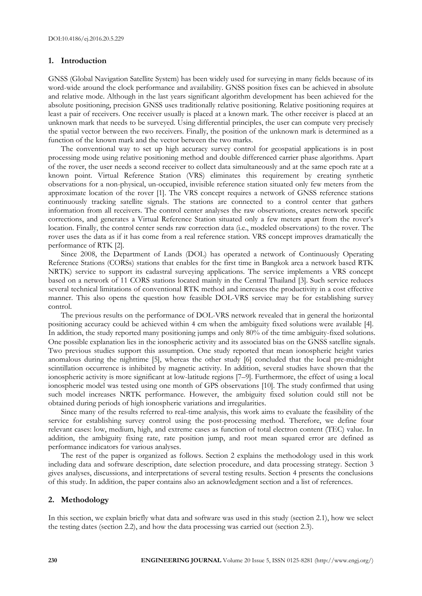# **1. Introduction**

GNSS (Global Navigation Satellite System) has been widely used for surveying in many fields because of its word-wide around the clock performance and availability. GNSS position fixes can be achieved in absolute and relative mode. Although in the last years significant algorithm development has been achieved for the absolute positioning, precision GNSS uses traditionally relative positioning. Relative positioning requires at least a pair of receivers. One receiver usually is placed at a known mark. The other receiver is placed at an unknown mark that needs to be surveyed. Using differential principles, the user can compute very precisely the spatial vector between the two receivers. Finally, the position of the unknown mark is determined as a function of the known mark and the vector between the two marks.

The conventional way to set up high accuracy survey control for geospatial applications is in post processing mode using relative positioning method and double differenced carrier phase algorithms. Apart of the rover, the user needs a second receiver to collect data simultaneously and at the same epoch rate at a known point. Virtual Reference Station (VRS) eliminates this requirement by creating synthetic observations for a non-physical, un-occupied, invisible reference station situated only few meters from the approximate location of the rover [1]. The VRS concept requires a network of GNSS reference stations continuously tracking satellite signals. The stations are connected to a control center that gathers information from all receivers. The control center analyses the raw observations, creates network specific corrections, and generates a Virtual Reference Station situated only a few meters apart from the rover's location. Finally, the control center sends raw correction data (i.e., modeled observations) to the rover. The rover uses the data as if it has come from a real reference station. VRS concept improves dramatically the performance of RTK [2].

Since 2008, the Department of Lands (DOL) has operated a network of Continuously Operating Reference Stations (CORSs) stations that enables for the first time in Bangkok area a network based RTK NRTK) service to support its cadastral surveying applications. The service implements a VRS concept based on a network of 11 CORS stations located mainly in the Central Thailand [3]. Such service reduces several technical limitations of conventional RTK method and increases the productivity in a cost effective manner. This also opens the question how feasible DOL-VRS service may be for establishing survey control.

The previous results on the performance of DOL-VRS network revealed that in general the horizontal positioning accuracy could be achieved within 4 cm when the ambiguity fixed solutions were available [4]. In addition, the study reported many positioning jumps and only 80% of the time ambiguity-fixed solutions. One possible explanation lies in the ionospheric activity and its associated bias on the GNSS satellite signals. Two previous studies support this assumption. One study reported that mean ionospheric height varies anomalous during the nighttime [5], whereas the other study [6] concluded that the local pre-midnight scintillation occurrence is inhibited by magnetic activity. In addition, several studies have shown that the ionospheric activity is more significant at low-latitude regions [7–9]. Furthermore, the effect of using a local ionospheric model was tested using one month of GPS observations [10]. The study confirmed that using such model increases NRTK performance. However, the ambiguity fixed solution could still not be obtained during periods of high ionospheric variations and irregularities.

Since many of the results referred to real-time analysis, this work aims to evaluate the feasibility of the service for establishing survey control using the post-processing method. Therefore, we define four relevant cases: low, medium, high, and extreme cases as function of total electron content (TEC) value. In addition, the ambiguity fixing rate, rate position jump, and root mean squared error are defined as performance indicators for various analyses.

The rest of the paper is organized as follows. Section 2 explains the methodology used in this work including data and software description, date selection procedure, and data processing strategy. Section 3 gives analyses, discussions, and interpretations of several testing results. Section 4 presents the conclusions of this study. In addition, the paper contains also an acknowledgment section and a list of references.

#### **2. Methodology**

In this section, we explain briefly what data and software was used in this study (section 2.1), how we select the testing dates (section 2.2), and how the data processing was carried out (section 2.3).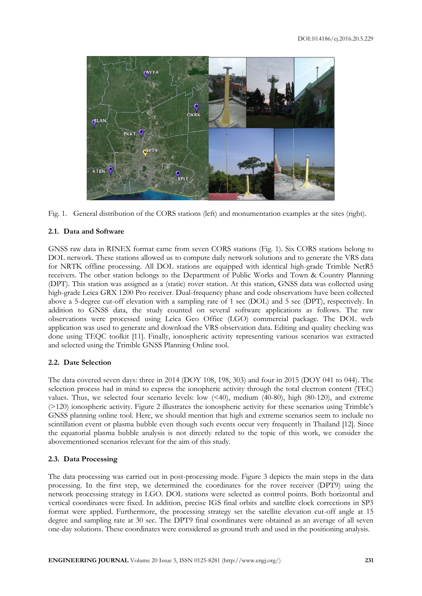

Fig. 1. General distribution of the CORS stations (left) and monumentation examples at the sites (right).

# **2.1. Data and Software**

GNSS raw data in RINEX format came from seven CORS stations (Fig. 1). Six CORS stations belong to DOL network. These stations allowed us to compute daily network solutions and to generate the VRS data for NRTK offline processing. All DOL stations are equipped with identical high-grade Trimble NetR5 receivers. The other station belongs to the Department of Public Works and Town & Country Planning (DPT). This station was assigned as a (static) rover station. At this station, GNSS data was collected using high-grade Leica GRX 1200 Pro receiver. Dual-frequency phase and code observations have been collected above a 5-degree cut-off elevation with a sampling rate of 1 sec (DOL) and 5 sec (DPT), respectively. In addition to GNSS data, the study counted on several software applications as follows. The raw observations were processed using Leica Geo Office (LGO) commercial package. The DOL web application was used to generate and download the VRS observation data. Editing and quality checking was done using TEQC toolkit [11]. Finally, ionospheric activity representing various scenarios was extracted and selected using the Trimble GNSS Planning Online tool.

# **2.2. Date Selection**

The data covered seven days: three in 2014 (DOY 108, 198, 303) and four in 2015 (DOY 041 to 044). The selection process had in mind to express the ionopheric activity through the total electron content (TEC) values. Thus, we selected four scenario levels: low (<40), medium (40-80), high (80-120), and extreme (>120) ionospheric activity. Figure 2 illustrates the ionospheric activity for these scenarios using Trimble's GNSS planning online tool. Here, we should mention that high and extreme scenarios seem to include no scintillation event or plasma bubble even though such events occur very frequently in Thailand [12]. Since the equatorial plasma bubble analysis is not directly related to the topic of this work, we consider the abovementioned scenarios relevant for the aim of this study.

# **2.3. Data Processing**

The data processing was carried out in post-processing mode. Figure 3 depicts the main steps in the data processing. In the first step, we determined the coordinates for the rover receiver (DPT9) using the network processing strategy in LGO. DOL stations were selected as control points. Both horizontal and vertical coordinates were fixed. In addition, precise IGS final orbits and satellite clock corrections in SP3 format were applied. Furthermore, the processing strategy set the satellite elevation cut-off angle at 15 degree and sampling rate at 30 sec. The DPT9 final coordinates were obtained as an average of all seven one-day solutions. These coordinates were considered as ground truth and used in the positioning analysis.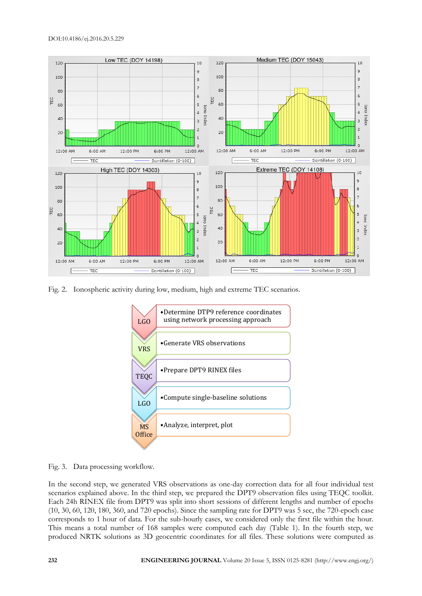

Fig. 2. Ionospheric activity during low, medium, high and extreme TEC scenarios.



Fig. 3. Data processing workflow.

In the second step, we generated VRS observations as one-day correction data for all four individual test scenarios explained above. In the third step, we prepared the DPT9 observation files using TEQC toolkit. Each 24h RINEX file from DPT9 was split into short sessions of different lengths and number of epochs (10, 30, 60, 120, 180, 360, and 720 epochs). Since the sampling rate for DPT9 was 5 sec, the 720-epoch case corresponds to 1 hour of data. For the sub-hourly cases, we considered only the first file within the hour. This means a total number of 168 samples were computed each day (Table 1). In the fourth step, we produced NRTK solutions as 3D geocentric coordinates for all files. These solutions were computed as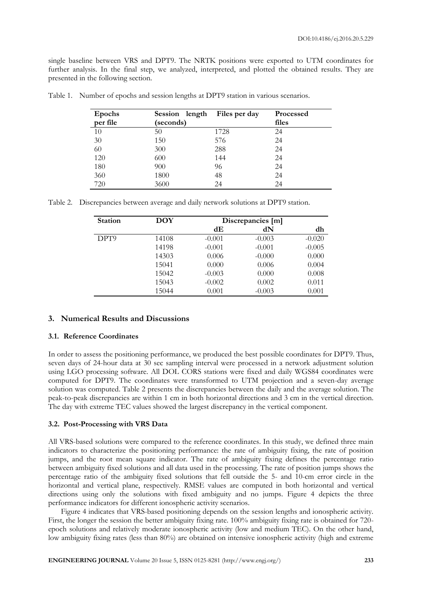single baseline between VRS and DPT9. The NRTK positions were exported to UTM coordinates for further analysis. In the final step, we analyzed, interpreted, and plotted the obtained results. They are presented in the following section.

| Epochs   | Session length | Files per day | <b>Processed</b> |
|----------|----------------|---------------|------------------|
| per file | (seconds)      |               |                  |
| 10       | 50             | 1728          | 24               |
| 30       | 150            | 576           | 24               |
| 60       | 300            | 288           | 24               |
| 120      | 600            | 144           | 24               |
| 180      | 900            | 96            | 24               |
| 360      | 1800           | 48            | 24               |
| 720      | 3600           | 24            | 24               |

Table 1. Number of epochs and session lengths at DPT9 station in various scenarios.

Table 2. Discrepancies between average and daily network solutions at DPT9 station.

| <b>Station</b> | <b>DOY</b> | Discrepancies [m] |          |          |
|----------------|------------|-------------------|----------|----------|
|                |            | dЕ                | dN       | dh       |
| DPT9           | 14108      | $-0.001$          | $-0.003$ | $-0.020$ |
|                | 14198      | $-0.001$          | $-0.001$ | $-0.005$ |
|                | 14303      | 0.006             | $-0.000$ | 0.000    |
|                | 15041      | 0.000             | 0.006    | 0.004    |
|                | 15042      | $-0.003$          | 0.000    | 0.008    |
|                | 15043      | $-0.002$          | 0.002    | 0.011    |
|                | 15044      | 0.001             | $-0.003$ | 0.001    |

# **3. Numerical Results and Discussions**

# **3.1. Reference Coordinates**

In order to assess the positioning performance, we produced the best possible coordinates for DPT9. Thus, seven days of 24-hour data at 30 sec sampling interval were processed in a network adjustment solution using LGO processing software. All DOL CORS stations were fixed and daily WGS84 coordinates were computed for DPT9. The coordinates were transformed to UTM projection and a seven-day average solution was computed. Table 2 presents the discrepancies between the daily and the average solution. The peak-to-peak discrepancies are within 1 cm in both horizontal directions and 3 cm in the vertical direction. The day with extreme TEC values showed the largest discrepancy in the vertical component.

# **3.2. Post-Processing with VRS Data**

All VRS-based solutions were compared to the reference coordinates. In this study, we defined three main indicators to characterize the positioning performance: the rate of ambiguity fixing, the rate of position jumps, and the root mean square indicator. The rate of ambiguity fixing defines the percentage ratio between ambiguity fixed solutions and all data used in the processing. The rate of position jumps shows the percentage ratio of the ambiguity fixed solutions that fell outside the 5- and 10-cm error circle in the horizontal and vertical plane, respectively. RMSE values are computed in both horizontal and vertical directions using only the solutions with fixed ambiguity and no jumps. Figure 4 depicts the three performance indicators for different ionospheric activity scenarios.

Figure 4 indicates that VRS-based positioning depends on the session lengths and ionospheric activity. First, the longer the session the better ambiguity fixing rate. 100% ambiguity fixing rate is obtained for 720 epoch solutions and relatively moderate ionospheric activity (low and medium TEC). On the other hand, low ambiguity fixing rates (less than 80%) are obtained on intensive ionospheric activity (high and extreme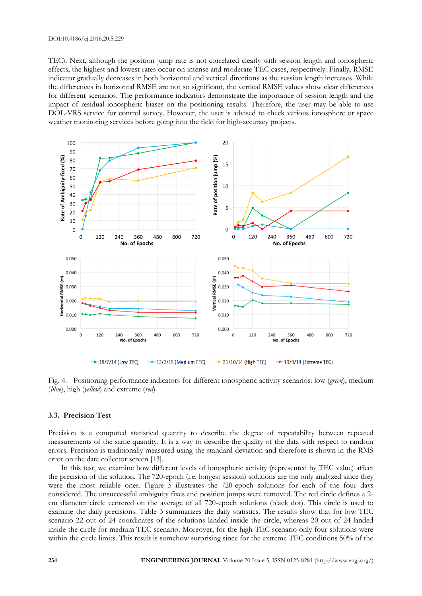TEC). Next, although the position jump rate is not correlated clearly with session length and ionospheric effects, the highest and lowest rates occur on intense and moderate TEC cases, respectively. Finally, RMSE indicator gradually decreases in both horizontal and vertical directions as the session length increases. While the differences in horizontal RMSE are not so significant, the vertical RMSE values show clear differences for different scenarios. The performance indicators demonstrate the importance of session length and the impact of residual ionospheric biases on the positioning results. Therefore, the user may be able to use DOL-VRS service for control survey. However, the user is advised to check various ionosphere or space weather monitoring services before going into the field for high-accuracy projects.



Fig. 4. Positioning performance indicators for different ionospheric activity scenarios: low (*green*), medium (*blue*), high (*yellow*) and extreme (*red*).

#### **3.3. Precision Test**

Precision is a computed statistical quantity to describe the degree of repeatability between repeated measurements of the same quantity. It is a way to describe the quality of the data with respect to random errors. Precision is traditionally measured using the standard deviation and therefore is shown in the RMS error on the data collector screen [13].

In this test, we examine how different levels of ionospheric activity (represented by TEC value) affect the precision of the solution. The 720-epoch (i.e. longest session) solutions are the only analyzed since they were the most reliable ones. Figure 5 illustrates the 720-epoch solutions for each of the four days considered. The unsuccessful ambiguity fixes and position jumps were removed. The red circle defines a 2 cm diameter circle centered on the average of all 720-epoch solutions (black dot). This circle is used to examine the daily precisions. Table 3 summarizes the daily statistics. The results show that for low TEC scenario 22 out of 24 coordinates of the solutions landed inside the circle, whereas 20 out of 24 landed inside the circle for medium TEC scenario. Moreover, for the high TEC scenario only four solutions were within the circle limits. This result is somehow surprising since for the extreme TEC conditions 50% of the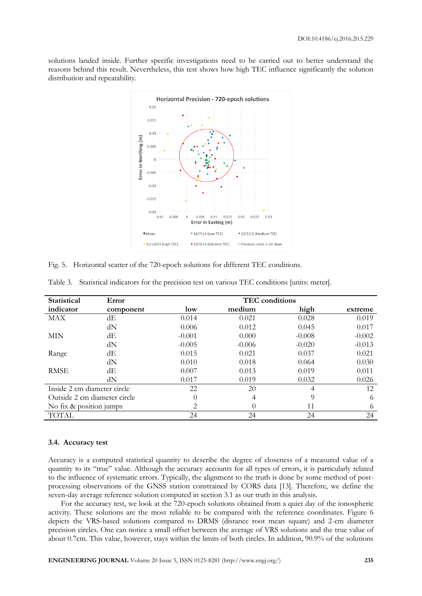solutions landed inside. Further specific investigations need to be carried out to better understand the reasons behind this result. Nevertheless, this test shows how high TEC influence significantly the solution distribution and repeatability.



Fig. 5. Horizontal scatter of the 720-epoch solutions for different TEC conditions.

| <b>Statistical</b>           | Error     | <b>TEC</b> conditions       |          |          |          |  |
|------------------------------|-----------|-----------------------------|----------|----------|----------|--|
| indicator                    | component | low                         | medium   | high     | extreme  |  |
| MAX                          | dЕ        | 0.014                       | 0.021    | 0.028    | 0.019    |  |
|                              | dN        | 0.006                       | 0.012    | 0.045    | 0.017    |  |
| MIN                          | dE        | $-0.001$                    | 0.000    | $-0.008$ | $-0.002$ |  |
|                              | dN        | $-0.005$                    | $-0.006$ | $-0.020$ | $-0.013$ |  |
| Range                        | dE        | 0.015                       | 0.021    | 0.037    | 0.021    |  |
|                              | dN        | 0.010                       | 0.018    | 0.064    | 0.030    |  |
| <b>RMSE</b>                  | dE        | 0.007                       | 0.013    | 0.019    | 0.011    |  |
|                              | dN        | 0.017                       | 0.019    | 0.032    | 0.026    |  |
| Inside 2 cm diameter circle  |           | 22                          | 20       | 4        | 12       |  |
| Outside 2 cm diameter circle |           | $\Omega$                    | 4        | 9        | 6        |  |
| No fix & position jumps      |           | $\mathcal{D}_{\mathcal{L}}$ |          | 11       | 6        |  |
| <b>TOTAL</b>                 |           | 24                          | 24       | 24       | 24       |  |

Table 3. Statistical indicators for the precision test on various TEC conditions [units: meter].

#### **3.4. Accuracy test**

Accuracy is a computed statistical quantity to describe the degree of closeness of a measured value of a quantity to its "true" value. Although the accuracy accounts for all types of errors, it is particularly related to the influence of systematic errors. Typically, the alignment to the truth is done by some method of postprocessing observations of the GNSS station constrained by CORS data [13]. Therefore, we define the seven-day average reference solution computed in section 3.1 as our truth in this analysis.

For the accuracy test, we look at the 720-epoch solutions obtained from a quiet day of the ionospheric activity. These solutions are the most reliable to be compared with the reference coordinates. Figure 6 depicts the VRS-based solutions compared to DRMS (distance root mean square) and 2-cm diameter precision circles. One can notice a small offset between the average of VRS solutions and the true value of about 0.7cm. This value, however, stays within the limits of both circles. In addition, 90.9% of the solutions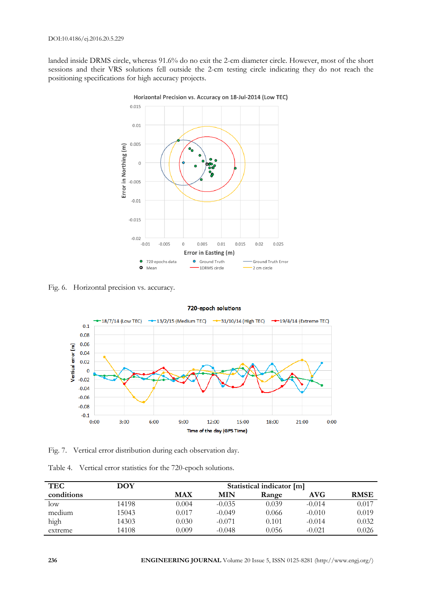landed inside DRMS circle, whereas 91.6% do no exit the 2-cm diameter circle. However, most of the short sessions and their VRS solutions fell outside the 2-cm testing circle indicating they do not reach the positioning specifications for high accuracy projects.



Horizontal Precision vs. Accuracy on 18-Jul-2014 (Low TEC)

Fig. 6. Horizontal precision vs. accuracy.



#### 720-epoch solutions

Fig. 7. Vertical error distribution during each observation day.

|  | Table 4. Vertical error statistics for the 720-epoch solutions. |  |  |  |  |
|--|-----------------------------------------------------------------|--|--|--|--|
|--|-----------------------------------------------------------------|--|--|--|--|

| <b>TEC</b>      | DOY   | Statistical indicator [m] |            |       |            |             |
|-----------------|-------|---------------------------|------------|-------|------------|-------------|
| conditions      |       | MAX                       | <b>MIN</b> | Range | <b>AVG</b> | <b>RMSE</b> |
| $_{\text{low}}$ | 14198 | 0.004                     | $-0.035$   | 0.039 | $-0.014$   | 0.017       |
| medium          | 15043 | 0.017                     | $-0.049$   | 0.066 | $-0.010$   | 0.019       |
| high            | 14303 | 0.030                     | $-0.071$   | 0.101 | $-0.014$   | 0.032       |
| extreme         | 14108 | 0.009                     | $-0.048$   | 0.056 | $-0.021$   | 0.026       |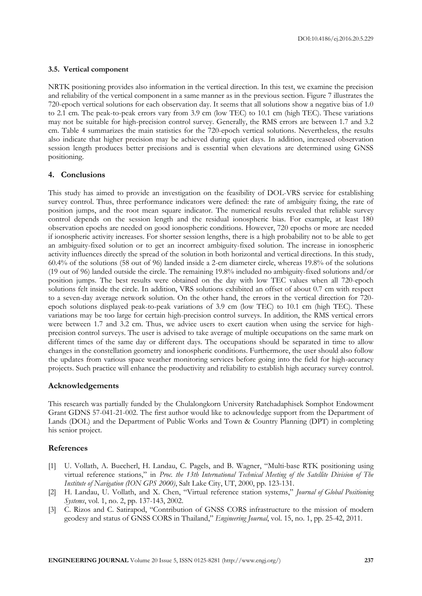#### **3.5. Vertical component**

NRTK positioning provides also information in the vertical direction. In this test, we examine the precision and reliability of the vertical component in a same manner as in the previous section. Figure 7 illustrates the 720-epoch vertical solutions for each observation day. It seems that all solutions show a negative bias of 1.0 to 2.1 cm. The peak-to-peak errors vary from 3.9 cm (low TEC) to 10.1 cm (high TEC). These variations may not be suitable for high-precision control survey. Generally, the RMS errors are between 1.7 and 3.2 cm. Table 4 summarizes the main statistics for the 720-epoch vertical solutions. Nevertheless, the results also indicate that higher precision may be achieved during quiet days. In addition, increased observation session length produces better precisions and is essential when elevations are determined using GNSS positioning.

### **4. Conclusions**

This study has aimed to provide an investigation on the feasibility of DOL-VRS service for establishing survey control. Thus, three performance indicators were defined: the rate of ambiguity fixing, the rate of position jumps, and the root mean square indicator. The numerical results revealed that reliable survey control depends on the session length and the residual ionospheric bias. For example, at least 180 observation epochs are needed on good ionospheric conditions. However, 720 epochs or more are needed if ionospheric activity increases. For shorter session lengths, there is a high probability not to be able to get an ambiguity-fixed solution or to get an incorrect ambiguity-fixed solution. The increase in ionospheric activity influences directly the spread of the solution in both horizontal and vertical directions. In this study, 60.4% of the solutions (58 out of 96) landed inside a 2-cm diameter circle, whereas 19.8% of the solutions (19 out of 96) landed outside the circle. The remaining 19.8% included no ambiguity-fixed solutions and/or position jumps. The best results were obtained on the day with low TEC values when all 720-epoch solutions felt inside the circle. In addition, VRS solutions exhibited an offset of about 0.7 cm with respect to a seven-day average network solution. On the other hand, the errors in the vertical direction for 720 epoch solutions displayed peak-to-peak variations of 3.9 cm (low TEC) to 10.1 cm (high TEC). These variations may be too large for certain high-precision control surveys. In addition, the RMS vertical errors were between 1.7 and 3.2 cm. Thus, we advice users to exert caution when using the service for highprecision control surveys. The user is advised to take average of multiple occupations on the same mark on different times of the same day or different days. The occupations should be separated in time to allow changes in the constellation geometry and ionospheric conditions. Furthermore, the user should also follow the updates from various space weather monitoring services before going into the field for high-accuracy projects. Such practice will enhance the productivity and reliability to establish high accuracy survey control.

### **Acknowledgements**

This research was partially funded by the Chulalongkorn University Ratchadaphisek Somphot Endowment Grant GDNS 57-041-21-002. The first author would like to acknowledge support from the Department of Lands (DOL) and the Department of Public Works and Town & Country Planning (DPT) in completing his senior project.

# **References**

- [1] U. Vollath, A. Buecherl, H. Landau, C. Pagels, and B. Wagner, "Multi-base RTK positioning using virtual reference stations," in *Proc. the 13th International Technical Meeting of the Satellite Division of The Institute of Navigation (ION GPS 2000)*, Salt Lake City, UT, 2000, pp. 123-131.
- [2] H. Landau, U. Vollath, and X. Chen, "Virtual reference station systems," *Journal of Global Positioning Systems*, vol. 1, no. 2, pp. 137-143, 2002.
- [3] C. Rizos and C. Satirapod, "Contribution of GNSS CORS infrastructure to the mission of modern geodesy and status of GNSS CORS in Thailand," *Engineering Journal*, vol. 15, no. 1, pp. 25-42, 2011.